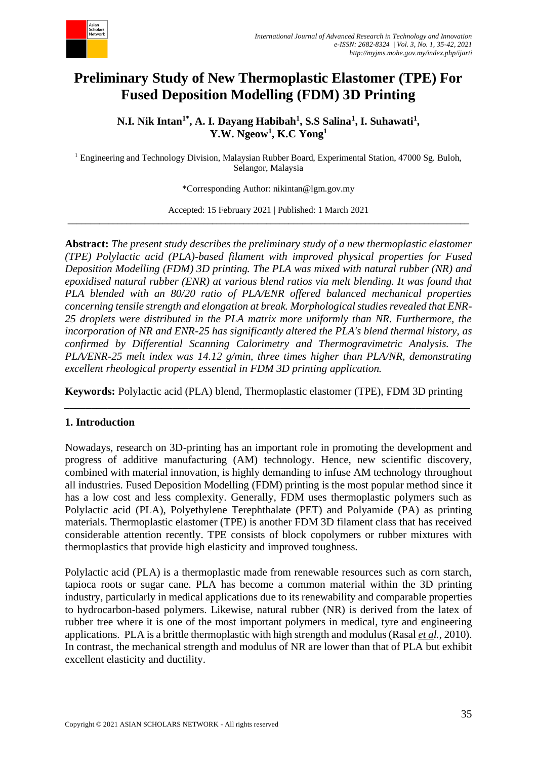

# **Preliminary Study of New Thermoplastic Elastomer (TPE) For Fused Deposition Modelling (FDM) 3D Printing**

**N.I. Nik Intan1\*, A. I. Dayang Habibah<sup>1</sup> , S.S Salina<sup>1</sup> , I. Suhawati<sup>1</sup> , Y.W. Ngeow<sup>1</sup> , K.C Yong<sup>1</sup>**

<sup>1</sup> Engineering and Technology Division, Malaysian Rubber Board, Experimental Station, 47000 Sg. Buloh, Selangor, Malaysia

\*Corresponding Author: nikintan@lgm.gov.my

Accepted: 15 February 2021 | Published: 1 March 2021 \_\_\_\_\_\_\_\_\_\_\_\_\_\_\_\_\_\_\_\_\_\_\_\_\_\_\_\_\_\_\_\_\_\_\_\_\_\_\_\_\_\_\_\_\_\_\_\_\_\_\_\_\_\_\_\_\_\_\_\_\_\_\_\_\_\_\_\_\_\_\_\_\_\_\_\_\_\_\_\_\_\_\_\_\_\_\_\_\_

**Abstract:** *The present study describes the preliminary study of a new thermoplastic elastomer (TPE) Polylactic acid (PLA)-based filament with improved physical properties for Fused Deposition Modelling (FDM) 3D printing. The PLA was mixed with natural rubber (NR) and epoxidised natural rubber (ENR) at various blend ratios via melt blending. It was found that PLA blended with an 80/20 ratio of PLA/ENR offered balanced mechanical properties concerning tensile strength and elongation at break. Morphological studies revealed that ENR-25 droplets were distributed in the PLA matrix more uniformly than NR. Furthermore, the incorporation of NR and ENR-25 has significantly altered the PLA's blend thermal history, as confirmed by Differential Scanning Calorimetry and Thermogravimetric Analysis. The PLA/ENR-25 melt index was 14.12 g/min, three times higher than PLA/NR, demonstrating excellent rheological property essential in FDM 3D printing application.*

**Keywords:** Polylactic acid (PLA) blend, Thermoplastic elastomer (TPE), FDM 3D printing *\_\_\_\_\_\_\_\_\_\_\_\_\_\_\_\_\_\_\_\_\_\_\_\_\_\_\_\_\_\_\_\_\_\_\_\_\_\_\_\_\_\_\_\_\_\_\_\_\_\_\_\_\_\_\_\_\_\_\_\_\_\_\_\_\_\_\_\_\_\_\_\_\_\_\_*

## **1. Introduction**

Nowadays, research on 3D-printing has an important role in promoting the development and progress of additive manufacturing (AM) technology. Hence, new scientific discovery, combined with material innovation, is highly demanding to infuse AM technology throughout all industries. Fused Deposition Modelling (FDM) printing is the most popular method since it has a low cost and less complexity. Generally, FDM uses thermoplastic polymers such as Polylactic acid (PLA), Polyethylene Terephthalate (PET) and Polyamide (PA) as printing materials. Thermoplastic elastomer (TPE) is another FDM 3D filament class that has received considerable attention recently. TPE consists of block copolymers or rubber mixtures with thermoplastics that provide high elasticity and improved toughness.

Polylactic acid (PLA) is a thermoplastic made from renewable resources such as corn starch, tapioca roots or sugar cane. PLA has become a common material within the 3D printing industry, particularly in medical applications due to its renewability and comparable properties to hydrocarbon-based polymers. Likewise, natural rubber (NR) is derived from the latex of rubber tree where it is one of the most important polymers in medical, tyre and engineering applications. PLA is a brittle thermoplastic with high strength and modulus (Rasal *et al.*, 2010). In contrast, the mechanical strength and modulus of NR are lower than that of PLA but exhibit excellent elasticity and ductility.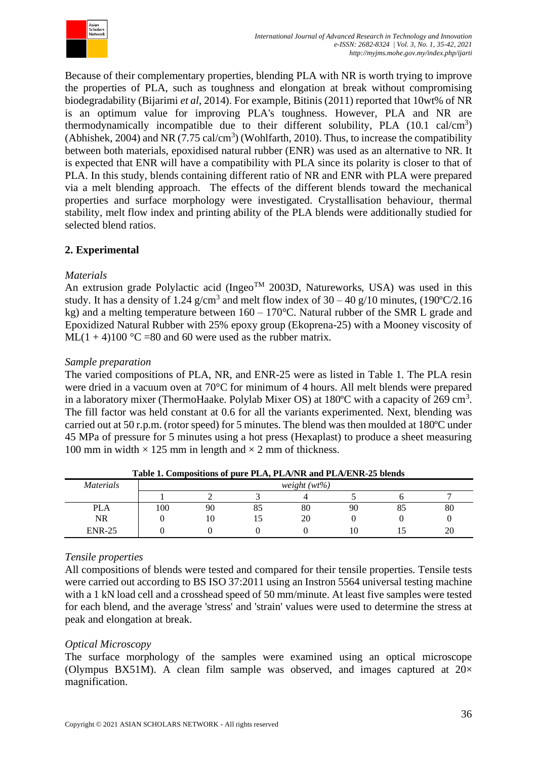

Because of their complementary properties, blending PLA with NR is worth trying to improve the properties of PLA, such as toughness and elongation at break without compromising biodegradability (Bijarimi *et al*, 2014). For example, Bitinis (2011) reported that 10wt% of NR is an optimum value for improving PLA's toughness. However, PLA and NR are thermodynamically incompatible due to their different solubility, PLA  $(10.1 \text{ cal/cm}^3)$ (Abhishek, 2004) and NR  $(7.75 \text{ cal/cm}^3)$  (Wohlfarth, 2010). Thus, to increase the compatibility between both materials, epoxidised natural rubber (ENR) was used as an alternative to NR. It is expected that ENR will have a compatibility with PLA since its polarity is closer to that of PLA. In this study, blends containing different ratio of NR and ENR with PLA were prepared via a melt blending approach. The effects of the different blends toward the mechanical properties and surface morphology were investigated. Crystallisation behaviour, thermal stability, melt flow index and printing ability of the PLA blends were additionally studied for selected blend ratios.

# **2. Experimental**

## *Materials*

An extrusion grade Polylactic acid (Ingeo<sup>TM</sup> 2003D, Natureworks, USA) was used in this study. It has a density of 1.24 g/cm<sup>3</sup> and melt flow index of  $30 - 40$  g/10 minutes, (190°C/2.16 kg) and a melting temperature between  $160 - 170$ °C. Natural rubber of the SMR L grade and Epoxidized Natural Rubber with 25% epoxy group (Ekoprena-25) with a Mooney viscosity of ML(1 + 4)100 °C =80 and 60 were used as the rubber matrix.

# *Sample preparation*

The varied compositions of PLA, NR, and ENR-25 were as listed in Table 1. The PLA resin were dried in a vacuum oven at 70°C for minimum of 4 hours. All melt blends were prepared in a laboratory mixer (ThermoHaake. Polylab Mixer OS) at  $180^{\circ}$ C with a capacity of 269 cm<sup>3</sup>. The fill factor was held constant at 0.6 for all the variants experimented. Next, blending was carried out at 50 r.p.m. (rotor speed) for 5 minutes. The blend was then moulded at 180ºC under 45 MPa of pressure for 5 minutes using a hot press (Hexaplast) to produce a sheet measuring 100 mm in width  $\times$  125 mm in length and  $\times$  2 mm of thickness.

| <i>Materials</i> | $weight(wt\%)$ |    |    |    |    |          |    |
|------------------|----------------|----|----|----|----|----------|----|
|                  |                |    |    |    |    |          |    |
| <b>PLA</b>       | 100            | 90 | 85 | 80 | 90 | oς<br>80 | 80 |
| NR               |                | 10 | ⊥J | 20 |    |          |    |
| <b>ENR-25</b>    |                |    |    |    | 1∪ |          | 20 |

**Table 1. Compositions of pure PLA, PLA/NR and PLA/ENR-25 blends**

# *Tensile properties*

All compositions of blends were tested and compared for their tensile properties. Tensile tests were carried out according to BS ISO 37:2011 using an Instron 5564 universal testing machine with a 1 kN load cell and a crosshead speed of 50 mm/minute. At least five samples were tested for each blend, and the average 'stress' and 'strain' values were used to determine the stress at peak and elongation at break.

## *Optical Microscopy*

The surface morphology of the samples were examined using an optical microscope (Olympus BX51M). A clean film sample was observed, and images captured at  $20\times$ magnification.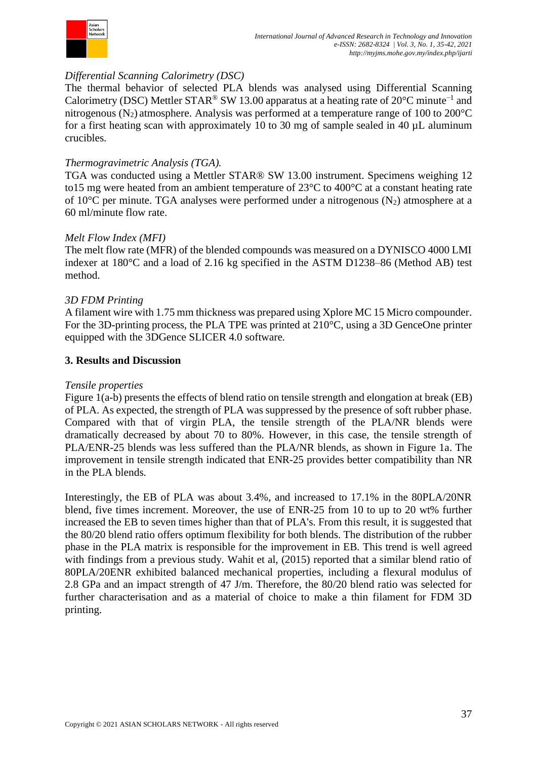

# *Differential Scanning Calorimetry (DSC)*

The thermal behavior of selected PLA blends was analysed using Differential Scanning Calorimetry (DSC) Mettler STAR<sup>®</sup> SW 13.00 apparatus at a heating rate of 20°C minute<sup>-1</sup> and nitrogenous (N<sub>2</sub>) atmosphere. Analysis was performed at a temperature range of 100 to 200 $^{\circ}$ C for a first heating scan with approximately 10 to 30 mg of sample sealed in 40 µL aluminum crucibles.

# *Thermogravimetric Analysis (TGA).*

TGA was conducted using a Mettler STAR® SW 13.00 instrument. Specimens weighing 12 to15 mg were heated from an ambient temperature of 23°C to 400°C at a constant heating rate of 10 $^{\circ}$ C per minute. TGA analyses were performed under a nitrogenous (N<sub>2</sub>) atmosphere at a 60 ml/minute flow rate.

# *Melt Flow Index (MFI)*

The melt flow rate (MFR) of the blended compounds was measured on a DYNISCO 4000 LMI indexer at 180°C and a load of 2.16 kg specified in the ASTM D1238–86 (Method AB) test method.

# *3D FDM Printing*

A filament wire with 1.75 mm thickness was prepared using Xplore MC 15 Micro compounder. For the 3D-printing process, the PLA TPE was printed at 210°C, using a 3D GenceOne printer equipped with the 3DGence SLICER 4.0 software.

## **3. Results and Discussion**

## *Tensile properties*

Figure 1(a-b) presents the effects of blend ratio on tensile strength and elongation at break (EB) of PLA. As expected, the strength of PLA was suppressed by the presence of soft rubber phase. Compared with that of virgin PLA, the tensile strength of the PLA/NR blends were dramatically decreased by about 70 to 80%. However, in this case, the tensile strength of PLA/ENR-25 blends was less suffered than the PLA/NR blends, as shown in Figure 1a. The improvement in tensile strength indicated that ENR-25 provides better compatibility than NR in the PLA blends.

Interestingly, the EB of PLA was about 3.4%, and increased to 17.1% in the 80PLA/20NR blend, five times increment. Moreover, the use of ENR-25 from 10 to up to 20 wt% further increased the EB to seven times higher than that of PLA's. From this result, it is suggested that the 80/20 blend ratio offers optimum flexibility for both blends. The distribution of the rubber phase in the PLA matrix is responsible for the improvement in EB. This trend is well agreed with findings from a previous study. Wahit et al, (2015) reported that a similar blend ratio of 80PLA/20ENR exhibited balanced mechanical properties, including a flexural modulus of 2.8 GPa and an impact strength of 47 J/m. Therefore, the 80/20 blend ratio was selected for further characterisation and as a material of choice to make a thin filament for FDM 3D printing.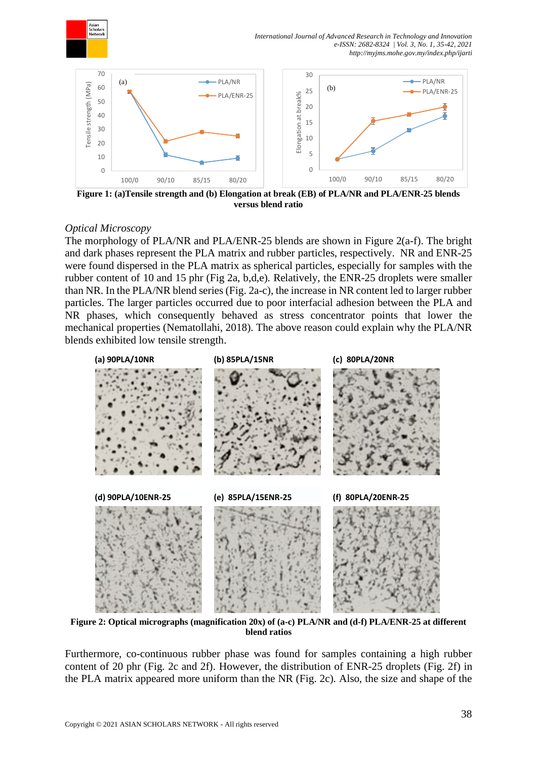



**Figure 1: (a)Tensile strength and (b) Elongation at break (EB) of PLA/NR and PLA/ENR-25 blends versus blend ratio**

## *Optical Microscopy*

The morphology of PLA/NR and PLA/ENR-25 blends are shown in Figure 2(a-f). The bright and dark phases represent the PLA matrix and rubber particles, respectively. NR and ENR-25 were found dispersed in the PLA matrix as spherical particles, especially for samples with the rubber content of 10 and 15 phr (Fig 2a, b,d,e). Relatively, the ENR-25 droplets were smaller than NR. In the PLA/NR blend series (Fig. 2a-c), the increase in NR content led to larger rubber particles. The larger particles occurred due to poor interfacial adhesion between the PLA and NR phases, which consequently behaved as stress concentrator points that lower the mechanical properties (Nematollahi, 2018). The above reason could explain why the PLA/NR blends exhibited low tensile strength.



**Figure 2: Optical micrographs (magnification 20x) of (a-c) PLA/NR and (d-f) PLA/ENR-25 at different blend ratios**

Furthermore, co-continuous rubber phase was found for samples containing a high rubber content of 20 phr (Fig. 2c and 2f). However, the distribution of ENR-25 droplets (Fig. 2f) in the PLA matrix appeared more uniform than the NR (Fig. 2c). Also, the size and shape of the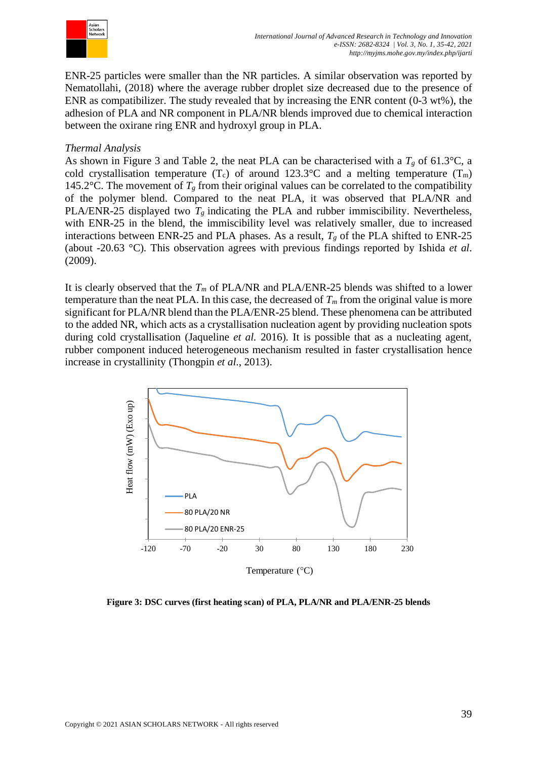

ENR-25 particles were smaller than the NR particles. A similar observation was reported by Nematollahi, (2018) where the average rubber droplet size decreased due to the presence of ENR as compatibilizer. The study revealed that by increasing the ENR content (0-3 wt%), the adhesion of PLA and NR component in PLA/NR blends improved due to chemical interaction between the oxirane ring ENR and hydroxyl group in PLA.

## *Thermal Analysis*

As shown in Figure 3 and Table 2, the neat PLA can be characterised with a  $T_g$  of 61.3°C, a cold crystallisation temperature  $(T_c)$  of around 123.3°C and a melting temperature  $(T_m)$ 145.2°C. The movement of  $T_g$  from their original values can be correlated to the compatibility of the polymer blend. Compared to the neat PLA, it was observed that PLA/NR and PLA/ENR-25 displayed two  $T_g$  indicating the PLA and rubber immiscibility. Nevertheless, with ENR-25 in the blend, the immiscibility level was relatively smaller, due to increased interactions between ENR-25 and PLA phases. As a result,  $T_g$  of the PLA shifted to ENR-25 (about -20.63 °C). This observation agrees with previous findings reported by Ishida *et al*. (2009).

It is clearly observed that the *T<sup>m</sup>* of PLA/NR and PLA/ENR-25 blends was shifted to a lower temperature than the neat PLA. In this case, the decreased of  $T<sub>m</sub>$  from the original value is more significant for PLA/NR blend than the PLA/ENR-25 blend. These phenomena can be attributed to the added NR, which acts as a crystallisation nucleation agent by providing nucleation spots during cold crystallisation (Jaqueline *et al.* 2016). It is possible that as a nucleating agent, rubber component induced heterogeneous mechanism resulted in faster crystallisation hence increase in crystallinity (Thongpin *et al*., 2013).



**Figure 3: DSC curves (first heating scan) of PLA, PLA/NR and PLA/ENR-25 blends**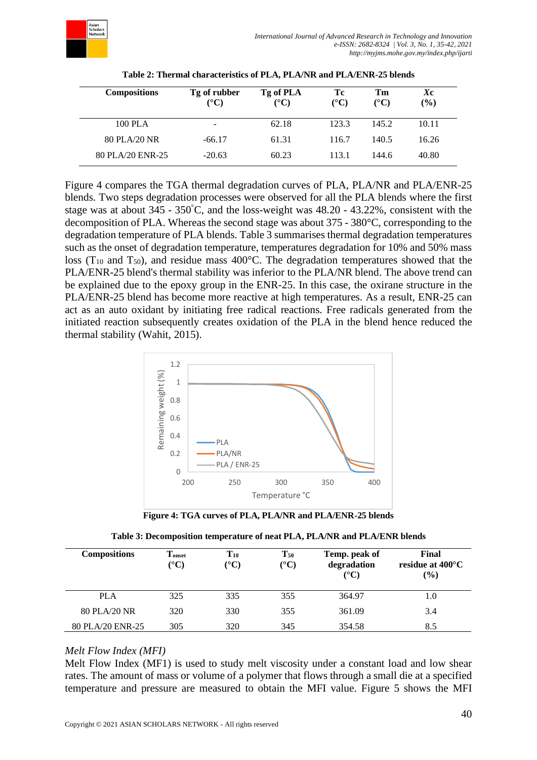

| <b>Compositions</b> | Tg of rubber<br>$({}^\circ\mathrm{C})$ | Tg of PLA<br>$({}^{\circ}{\rm C})$ | Тc<br>$({}^{\circ}{\rm C})$ | Tm<br>(°C) | Xс<br>$\frac{9}{0}$ |
|---------------------|----------------------------------------|------------------------------------|-----------------------------|------------|---------------------|
| 100 PLA             | -                                      | 62.18                              | 123.3                       | 145.2      | 10.11               |
| 80 PLA/20 NR        | $-66.17$                               | 61.31                              | 116.7                       | 140.5      | 16.26               |
| 80 PLA/20 ENR-25    | $-20.63$                               | 60.23                              | 113.1                       | 144.6      | 40.80               |

**Table 2: Thermal characteristics of PLA, PLA/NR and PLA/ENR-25 blends**

Figure 4 compares the TGA thermal degradation curves of PLA, PLA/NR and PLA/ENR-25 blends. Two steps degradation processes were observed for all the PLA blends where the first stage was at about 345 - 350°C, and the loss-weight was 48.20 - 43.22%, consistent with the decomposition of PLA. Whereas the second stage was about 375 - 380°C, corresponding to the degradation temperature of PLA blends. Table 3 summarises thermal degradation temperatures such as the onset of degradation temperature, temperatures degradation for 10% and 50% mass loss ( $T_{10}$  and  $T_{50}$ ), and residue mass 400°C. The degradation temperatures showed that the PLA/ENR-25 blend's thermal stability was inferior to the PLA/NR blend. The above trend can be explained due to the epoxy group in the ENR-25. In this case, the oxirane structure in the PLA/ENR-25 blend has become more reactive at high temperatures. As a result, ENR-25 can act as an auto oxidant by initiating free radical reactions. Free radicals generated from the initiated reaction subsequently creates oxidation of the PLA in the blend hence reduced the thermal stability (Wahit, 2015).



**Figure 4: TGA curves of PLA, PLA/NR and PLA/ENR-25 blends**

| <b>Compositions</b> | Tonset<br>$({}^\circ\mathrm{C})$ | $T_{10}$<br>(°C) | $T_{50}$<br>$({}^{\circ}{\bf C})$ | Temp. peak of<br>degradation<br>$(^{\circ}C)$ | Final<br>residue at $400^{\circ}$ C<br>$\left( \frac{9}{6} \right)$ |
|---------------------|----------------------------------|------------------|-----------------------------------|-----------------------------------------------|---------------------------------------------------------------------|
| <b>PLA</b>          | 325                              | 335              | 355                               | 364.97                                        | 1.0                                                                 |
| 80 PLA/20 NR        | 320                              | 330              | 355                               | 361.09                                        | 3.4                                                                 |
| 80 PLA/20 ENR-25    | 305                              | 320              | 345                               | 354.58                                        | 8.5                                                                 |

## *Melt Flow Index (MFI)*

Melt Flow Index (MF1) is used to study melt viscosity under a constant load and low shear rates. The amount of mass or volume of a polymer that flows through a small die at a specified temperature and pressure are measured to obtain the MFI value. Figure 5 shows the MFI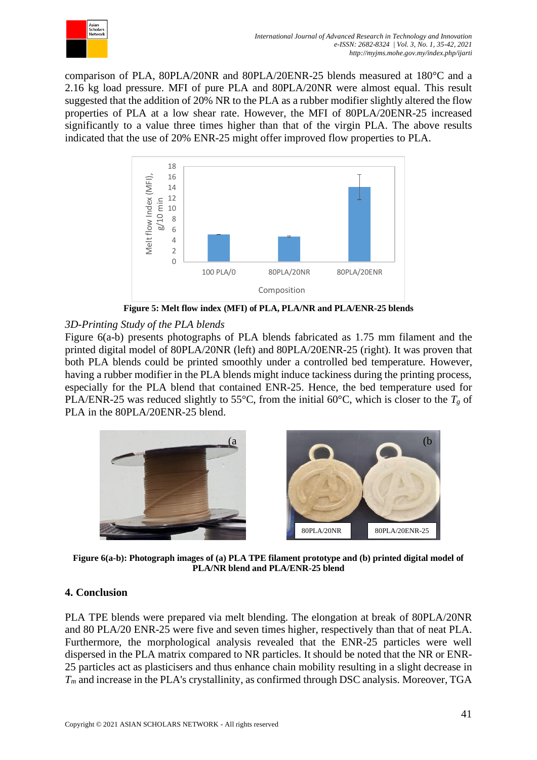

comparison of PLA, 80PLA/20NR and 80PLA/20ENR-25 blends measured at 180°C and a 2.16 kg load pressure. MFI of pure PLA and 80PLA/20NR were almost equal. This result suggested that the addition of 20% NR to the PLA as a rubber modifier slightly altered the flow properties of PLA at a low shear rate. However, the MFI of 80PLA/20ENR-25 increased significantly to a value three times higher than that of the virgin PLA. The above results indicated that the use of 20% ENR-25 might offer improved flow properties to PLA.



**Figure 5: Melt flow index (MFI) of PLA, PLA/NR and PLA/ENR-25 blends**

# *3D-Printing Study of the PLA blends*

Figure 6(a-b) presents photographs of PLA blends fabricated as 1.75 mm filament and the printed digital model of 80PLA/20NR (left) and 80PLA/20ENR-25 (right). It was proven that both PLA blends could be printed smoothly under a controlled bed temperature. However, having a rubber modifier in the PLA blends might induce tackiness during the printing process, especially for the PLA blend that contained ENR-25. Hence, the bed temperature used for PLA/ENR-25 was reduced slightly to 55°C, from the initial 60°C, which is closer to the  $T_g$  of PLA in the 80PLA/20ENR-25 blend.



**Figure 6(a-b): Photograph images of (a) PLA TPE filament prototype and (b) printed digital model of PLA/NR blend and PLA/ENR-25 blend**

# **4. Conclusion**

PLA TPE blends were prepared via melt blending. The elongation at break of 80PLA/20NR and 80 PLA/20 ENR-25 were five and seven times higher, respectively than that of neat PLA. Furthermore, the morphological analysis revealed that the ENR-25 particles were well dispersed in the PLA matrix compared to NR particles. It should be noted that the NR or ENR-25 particles act as plasticisers and thus enhance chain mobility resulting in a slight decrease in *T<sup>m</sup>* and increase in the PLA's crystallinity, as confirmed through DSC analysis. Moreover, TGA